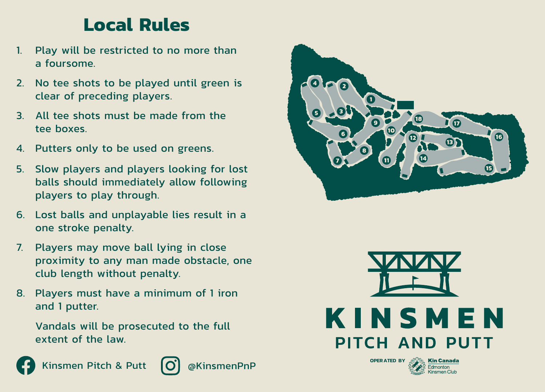## **Local Rules**

- 1. Play will be restricted to no more than a foursome.
- 2. No tee shots to be played until green is clear of preceding players.
- 3. All tee shots must be made from the tee boxes.
- 4. Putters only to be used on greens.
- 5. Slow players and players looking for lost balls should immediately allow following players to play through.
- 6. Lost balls and unplayable lies result in a one stroke penalty.
- 7. Players may move ball lying in close proximity to any man made obstacle, one club length without penalty.
- 8. Players must have a minimum of 1 iron and 1 putter.

Vandals will be prosecuted to the full extent of the law.



Kinsmen Pitch & Putt  $\Box$  @KinsmenPnP







**OPERATED BY**